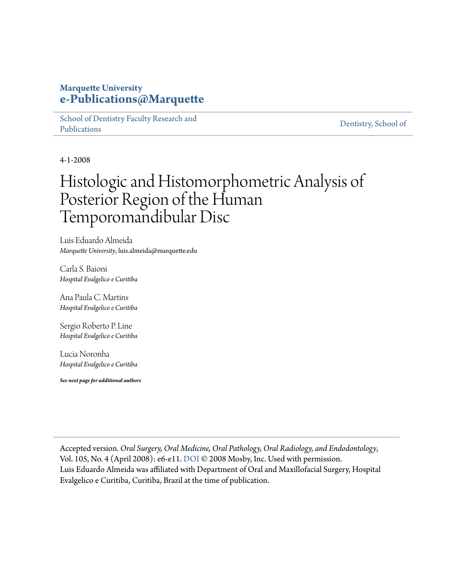## **Marquette University [e-Publications@Marquette](https://epublications.marquette.edu)**

[School of Dentistry Faculty Research and](https://epublications.marquette.edu/dentistry_fac) [Publications](https://epublications.marquette.edu/dentistry_fac)

[Dentistry, School of](https://epublications.marquette.edu/dentistry)

4-1-2008

## Histologic and Histomorphometric Analysis of Posterior Region of the Human Temporomandibular Disc

Luis Eduardo Almeida *Marquette University*, luis.almeida@marquette.edu

Carla S. Baioni *Hospital Evalgelico e Curitiba*

Ana Paula C. Martins *Hospital Evalgelico e Curitiba*

Sergio Roberto P. Line *Hospital Evalgelico e Curitiba*

Lucia Noronha *Hospital Evalgelico e Curitiba*

*See next page for additional authors*

Accepted version*. Oral Surgery, Oral Medicine, Oral Pathology, Oral Radiology, and Endodontology*, Vol. 105, No. 4 (April 2008): e6-e11. [DOI](https://doi.org/10.1016/j.tripleo.2007.10.004) © 2008 Mosby, Inc. Used with permission. Luis Eduardo Almeida was affiliated with Department of Oral and Maxillofacial Surgery, Hospital Evalgelico e Curitiba, Curitiba, Brazil at the time of publication.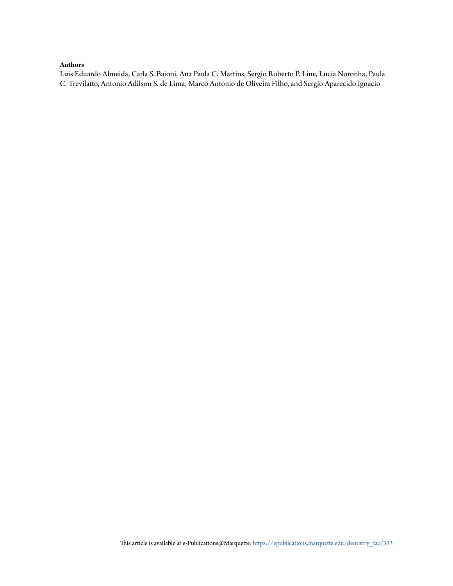#### **Authors**

Luis Eduardo Almeida, Carla S. Baioni, Ana Paula C. Martins, Sergio Roberto P. Line, Lucia Noronha, Paula C. Trevilatto, Antonio Adilson S. de Lima, Marco Antonio de Oliveira Filho, and Sergio Aparecido Ignacio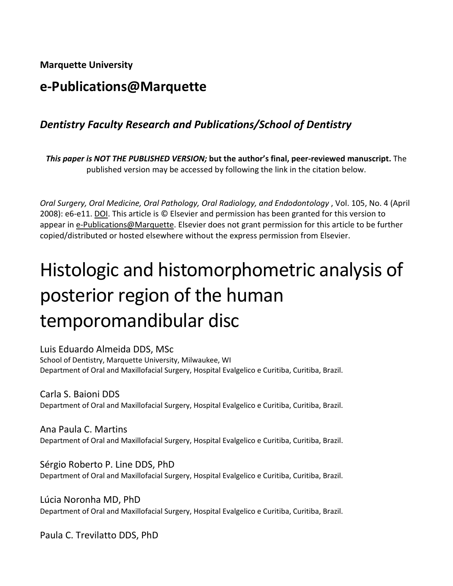**Marquette University**

## **e-Publications@Marquette**

## *Dentistry Faculty Research and Publications/School of Dentistry*

*This paper is NOT THE PUBLISHED VERSION;* **but the author's final, peer-reviewed manuscript.** The published version may be accessed by following the link in the citation below.

*Oral Surgery, Oral Medicine, Oral Pathology, Oral Radiology, and Endodontology* , Vol. 105, No. 4 (April 2008): e6-e11. DOI. This article is © Elsevier and permission has been granted for this version to appear i[n e-Publications@Marquette.](http://epublications.marquette.edu/) Elsevier does not grant permission for this article to be further copied/distributed or hosted elsewhere without the express permission from Elsevier.

# Histologic and histomorphometric analysis of posterior region of the human temporomandibular disc

Luis Eduardo Almeida DDS, MSc

School of Dentistry, Marquette University, Milwaukee, WI Department of Oral and Maxillofacial Surgery, Hospital Evalgelico e Curitiba, Curitiba, Brazil.

Carla S. Baioni DDS Department of Oral and Maxillofacial Surgery, Hospital Evalgelico e Curitiba, Curitiba, Brazil.

Ana Paula C. Martins Department of Oral and Maxillofacial Surgery, Hospital Evalgelico e Curitiba, Curitiba, Brazil.

Sérgio Roberto P. Line DDS, PhD Department of Oral and Maxillofacial Surgery, Hospital Evalgelico e Curitiba, Curitiba, Brazil.

Lúcia Noronha MD, PhD Department of Oral and Maxillofacial Surgery, Hospital Evalgelico e Curitiba, Curitiba, Brazil.

Paula C. Trevilatto DDS, PhD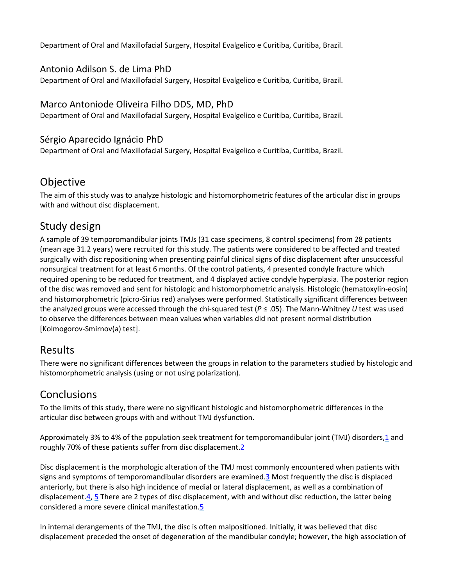Department of Oral and Maxillofacial Surgery, Hospital Evalgelico e Curitiba, Curitiba, Brazil.

#### Antonio Adilson S. de Lima PhD

Department of Oral and Maxillofacial Surgery, Hospital Evalgelico e Curitiba, Curitiba, Brazil.

#### Marco Antoniode Oliveira Filho DDS, MD, PhD

Department of Oral and Maxillofacial Surgery, Hospital Evalgelico e Curitiba, Curitiba, Brazil.

#### Sérgio Aparecido Ignácio PhD

Department of Oral and Maxillofacial Surgery, Hospital Evalgelico e Curitiba, Curitiba, Brazil.

## Objective

The aim of this study was to analyze histologic and histomorphometric features of the articular disc in groups with and without disc displacement.

## Study design

A sample of 39 temporomandibular joints TMJs (31 case specimens, 8 control specimens) from 28 patients (mean age 31.2 years) were recruited for this study. The patients were considered to be affected and treated surgically with disc repositioning when presenting painful clinical signs of disc displacement after unsuccessful nonsurgical treatment for at least 6 months. Of the control patients, 4 presented condyle fracture which required opening to be reduced for treatment, and 4 displayed active condyle hyperplasia. The posterior region of the disc was removed and sent for histologic and histomorphometric analysis. Histologic (hematoxylin-eosin) and histomorphometric (picro-Sirius red) analyses were performed. Statistically significant differences between the analyzed groups were accessed through the chi-squared test (*P* ≤ .05). The Mann-Whitney *U* test was used to observe the differences between mean values when variables did not present normal distribution [Kolmogorov-Smirnov(a) test].

#### Results

There were no significant differences between the groups in relation to the parameters studied by histologic and histomorphometric analysis (using or not using polarization).

## **Conclusions**

To the limits of this study, there were no significant histologic and histomorphometric differences in the articular disc between groups with and without TMJ dysfunction.

Approximately 3% to 4% of the population seek treatment for temporomandibular joint (TMJ) disorders[,1](https://www.sciencedirect.com/science/article/pii/S1079210407008244?via%3Dihub#bib1) and roughly 70% of these patients suffer from disc displacement.<sup>2</sup>

Disc displacement is the morphologic alteration of the TMJ most commonly encountered when patients with signs and symptoms of temporomandibular disorders are examined[.3](https://www.sciencedirect.com/science/article/pii/S1079210407008244?via%3Dihub#bib3) Most frequently the disc is displaced anteriorly, but there is also high incidence of medial or lateral displacement, as well as a combination of displacement[.4,](https://www.sciencedirect.com/science/article/pii/S1079210407008244?via%3Dihub#bib4) [5](https://www.sciencedirect.com/science/article/pii/S1079210407008244?via%3Dihub#bib5) There are 2 types of disc displacement, with and without disc reduction, the latter being considered a more severe clinical manifestation[.5](https://www.sciencedirect.com/science/article/pii/S1079210407008244?via%3Dihub#bib5)

In internal derangements of the TMJ, the disc is often malpositioned. Initially, it was believed that disc displacement preceded the onset of degeneration of the mandibular condyle; however, the high association of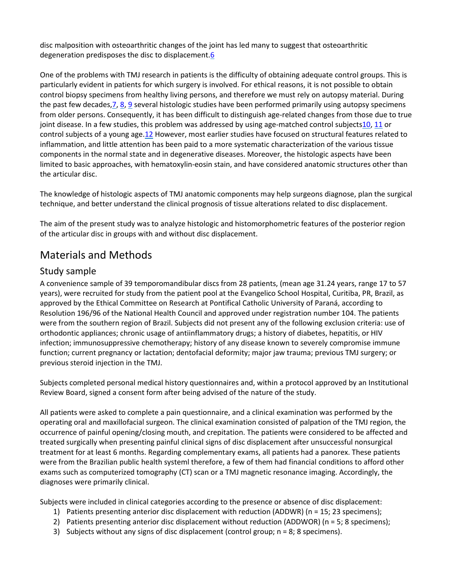disc malposition with osteoarthritic changes of the joint has led many to suggest that osteoarthritic degeneration predisposes the disc to displacement[.6](https://www.sciencedirect.com/science/article/pii/S1079210407008244?via%3Dihub#bib6)

One of the problems with TMJ research in patients is the difficulty of obtaining adequate control groups. This is particularly evident in patients for which surgery is involved. For ethical reasons, it is not possible to obtain control biopsy specimens from healthy living persons, and therefore we must rely on autopsy material. During the past few decade[s,7,](https://www.sciencedirect.com/science/article/pii/S1079210407008244?via%3Dihub#bib7) [8,](https://www.sciencedirect.com/science/article/pii/S1079210407008244?via%3Dihub#bib8) [9](https://www.sciencedirect.com/science/article/pii/S1079210407008244?via%3Dihub#bib9) several histologic studies have been performed primarily using autopsy specimens from older persons. Consequently, it has been difficult to distinguish age-related changes from those due to true joint disease. In a few studies, this problem was addressed by using age-matched control subject[s10,](https://www.sciencedirect.com/science/article/pii/S1079210407008244?via%3Dihub#bib10) [11](https://www.sciencedirect.com/science/article/pii/S1079210407008244?via%3Dihub#bib11) or control subjects of a young age[.12](https://www.sciencedirect.com/science/article/pii/S1079210407008244?via%3Dihub#bib12) However, most earlier studies have focused on structural features related to inflammation, and little attention has been paid to a more systematic characterization of the various tissue components in the normal state and in degenerative diseases. Moreover, the histologic aspects have been limited to basic approaches, with hematoxylin-eosin stain, and have considered anatomic structures other than the articular disc.

The knowledge of histologic aspects of TMJ anatomic components may help surgeons diagnose, plan the surgical technique, and better understand the clinical prognosis of tissue alterations related to disc displacement.

The aim of the present study was to analyze histologic and histomorphometric features of the posterior region of the articular disc in groups with and without disc displacement.

## Materials and Methods

#### Study sample

A convenience sample of 39 temporomandibular discs from 28 patients, (mean age 31.24 years, range 17 to 57 years), were recruited for study from the patient pool at the Evangelico School Hospital, Curitiba, PR, Brazil, as approved by the Ethical Committee on Research at Pontifical Catholic University of Paraná, according to Resolution 196/96 of the National Health Council and approved under registration number 104. The patients were from the southern region of Brazil. Subjects did not present any of the following exclusion criteria: use of orthodontic appliances; chronic usage of antiinflammatory drugs; a history of diabetes, hepatitis, or HIV infection; immunosuppressive chemotherapy; history of any disease known to severely compromise immune function; current pregnancy or lactation; dentofacial deformity; major jaw trauma; previous TMJ surgery; or previous steroid injection in the TMJ.

Subjects completed personal medical history questionnaires and, within a protocol approved by an Institutional Review Board, signed a consent form after being advised of the nature of the study.

All patients were asked to complete a pain questionnaire, and a clinical examination was performed by the operating oral and maxillofacial surgeon. The clinical examination consisted of palpation of the TMJ region, the occurrence of painful opening/closing mouth, and crepitation. The patients were considered to be affected and treated surgically when presenting painful clinical signs of disc displacement after unsuccessful nonsurgical treatment for at least 6 months. Regarding complementary exams, all patients had a panorex. These patients were from the Brazilian public health systeml therefore, a few of them had financial conditions to afford other exams such as computerized tomography (CT) scan or a TMJ magnetic resonance imaging. Accordingly, the diagnoses were primarily clinical.

Subjects were included in clinical categories according to the presence or absence of disc displacement:

- 1) Patients presenting anterior disc displacement with reduction (ADDWR) (n = 15; 23 specimens);
- 2) Patients presenting anterior disc displacement without reduction (ADDWOR) (n = 5; 8 specimens);
- 3) Subjects without any signs of disc displacement (control group;  $n = 8$ ; 8 specimens).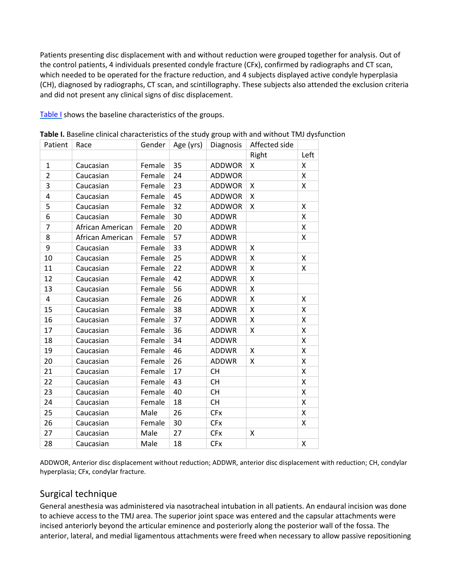Patients presenting disc displacement with and without reduction were grouped together for analysis. Out of the control patients, 4 individuals presented condyle fracture (CFx), confirmed by radiographs and CT scan, which needed to be operated for the fracture reduction, and 4 subjects displayed active condyle hyperplasia (CH), diagnosed by radiographs, CT scan, and scintillography. These subjects also attended the exclusion criteria and did not present any clinical signs of disc displacement.

[Table I](https://www.sciencedirect.com/science/article/pii/S1079210407008244?via%3Dihub#tbl1) shows the baseline characteristics of the groups.

| Patient        | Race             | Gender | Age (yrs) | Diagnosis     | Affected side |      |
|----------------|------------------|--------|-----------|---------------|---------------|------|
|                |                  |        |           |               | Right         | Left |
| $\mathbf{1}$   | Caucasian        | Female | 35        | <b>ADDWOR</b> | Χ             | X    |
| $\overline{2}$ | Caucasian        | Female | 24        | <b>ADDWOR</b> |               | X    |
| 3              | Caucasian        | Female | 23        | <b>ADDWOR</b> | Χ             | X    |
| 4              | Caucasian        | Female | 45        | <b>ADDWOR</b> | x             |      |
| 5              | Caucasian        | Female | 32        | <b>ADDWOR</b> | x             | X    |
| 6              | Caucasian        | Female | 30        | <b>ADDWR</b>  |               | X    |
| $\overline{7}$ | African American | Female | 20        | <b>ADDWR</b>  |               | X    |
| 8              | African American | Female | 57        | <b>ADDWR</b>  |               | X    |
| 9              | Caucasian        | Female | 33        | <b>ADDWR</b>  | X             |      |
| 10             | Caucasian        | Female | 25        | <b>ADDWR</b>  | X             | X    |
| 11             | Caucasian        | Female | 22        | <b>ADDWR</b>  | Χ             | X    |
| 12             | Caucasian        | Female | 42        | <b>ADDWR</b>  | X             |      |
| 13             | Caucasian        | Female | 56        | <b>ADDWR</b>  | X             |      |
| 4              | Caucasian        | Female | 26        | <b>ADDWR</b>  | X             | X    |
| 15             | Caucasian        | Female | 38        | <b>ADDWR</b>  | X             | X    |
| 16             | Caucasian        | Female | 37        | <b>ADDWR</b>  | X             | X    |
| 17             | Caucasian        | Female | 36        | <b>ADDWR</b>  | X             | X    |
| 18             | Caucasian        | Female | 34        | <b>ADDWR</b>  |               | X    |
| 19             | Caucasian        | Female | 46        | <b>ADDWR</b>  | X             | X    |
| 20             | Caucasian        | Female | 26        | <b>ADDWR</b>  | X             | X    |
| 21             | Caucasian        | Female | 17        | <b>CH</b>     |               | X    |
| 22             | Caucasian        | Female | 43        | <b>CH</b>     |               | X    |
| 23             | Caucasian        | Female | 40        | <b>CH</b>     |               | X    |
| 24             | Caucasian        | Female | 18        | <b>CH</b>     |               | X    |
| 25             | Caucasian        | Male   | 26        | <b>CFx</b>    |               | X    |
| 26             | Caucasian        | Female | 30        | <b>CFx</b>    |               | X    |
| 27             | Caucasian        | Male   | 27        | <b>CFx</b>    | Χ             |      |
| 28             | Caucasian        | Male   | 18        | <b>CFx</b>    |               | X    |

**Table I.** Baseline clinical characteristics of the study group with and without TMJ dysfunction

ADDWOR, Anterior disc displacement without reduction; ADDWR, anterior disc displacement with reduction; CH, condylar hyperplasia; CFx, condylar fracture.

#### Surgical technique

General anesthesia was administered via nasotracheal intubation in all patients. An endaural incision was done to achieve access to the TMJ area. The superior joint space was entered and the capsular attachments were incised anteriorly beyond the articular eminence and posteriorly along the posterior wall of the fossa. The anterior, lateral, and medial ligamentous attachments were freed when necessary to allow passive repositioning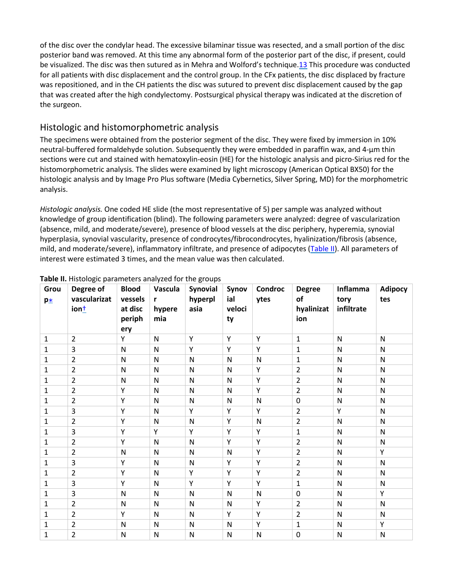of the disc over the condylar head. The excessive bilaminar tissue was resected, and a small portion of the disc posterior band was removed. At this time any abnormal form of the posterior part of the disc, if present, could be visualized. The disc was then sutured as in Mehra and Wolford's technique[.13](https://www.sciencedirect.com/science/article/pii/S1079210407008244?via%3Dihub#bib13) This procedure was conducted for all patients with disc displacement and the control group. In the CFx patients, the disc displaced by fracture was repositioned, and in the CH patients the disc was sutured to prevent disc displacement caused by the gap that was created after the high condylectomy. Postsurgical physical therapy was indicated at the discretion of the surgeon.

#### Histologic and histomorphometric analysis

The specimens were obtained from the posterior segment of the disc. They were fixed by immersion in 10% neutral-buffered formaldehyde solution. Subsequently they were embedded in paraffin wax, and 4-μm thin sections were cut and stained with hematoxylin-eosin (HE) for the histologic analysis and picro-Sirius red for the histomorphometric analysis. The slides were examined by light microscopy (American Optical BX50) for the histologic analysis and by Image Pro Plus software (Media Cybernetics, Silver Spring, MD) for the morphometric analysis.

*Histologic analysis.* One coded HE slide (the most representative of 5) per sample was analyzed without knowledge of group identification (blind). The following parameters were analyzed: degree of vascularization (absence, mild, and moderate/severe), presence of blood vessels at the disc periphery, hyperemia, synovial hyperplasia, synovial vascularity, presence of condrocytes/fibrocondrocytes, hyalinization/fibrosis (absence, mild, and moderate/severe), inflammatory infiltrate, and presence of adipocytes [\(Table II\)](https://www.sciencedirect.com/science/article/pii/S1079210407008244?via%3Dihub#tbl2). All parameters of interest were estimated 3 times, and the mean value was then calculated.

| Grou<br>$p_{\underline{*}}$ | Degree of<br>vascularizat<br>$ion+$ | <b>Blood</b><br>vessels<br>at disc<br>periph<br>ery | Vascula<br>r<br>hypere<br>mia | Synovial<br>hyperpl<br>asia | Synov<br>ial<br>veloci<br>ty | Condroc<br>ytes | <b>Degree</b><br>of<br>hyalinizat<br>ion | Inflamma<br>tory<br>infiltrate | <b>Adipocy</b><br>tes |
|-----------------------------|-------------------------------------|-----------------------------------------------------|-------------------------------|-----------------------------|------------------------------|-----------------|------------------------------------------|--------------------------------|-----------------------|
| 1                           | $\overline{2}$                      | Y                                                   | $\mathsf{N}$                  | Υ                           | Y                            | Y               | $\mathbf{1}$                             | ${\sf N}$                      | $\mathsf{N}$          |
| 1                           | 3                                   | ${\sf N}$                                           | N                             | Υ                           | Y                            | Y               | $\mathbf{1}$                             | ${\sf N}$                      | N                     |
| 1                           | $\overline{2}$                      | $\mathsf{N}$                                        | N                             | ${\sf N}$                   | ${\sf N}$                    | ${\sf N}$       | $\mathbf{1}$                             | ${\sf N}$                      | N                     |
| 1                           | $\overline{2}$                      | N                                                   | N                             | N                           | ${\sf N}$                    | Y               | $\overline{2}$                           | ${\sf N}$                      | N                     |
| 1                           | $\overline{2}$                      | $\mathsf{N}$                                        | N                             | ${\sf N}$                   | ${\sf N}$                    | Y               | $\overline{2}$                           | ${\sf N}$                      | $\mathsf{N}$          |
| 1                           | $\overline{2}$                      | Y                                                   | N                             | ${\sf N}$                   | ${\sf N}$                    | Y               | $\overline{2}$                           | ${\sf N}$                      | N                     |
| 1                           | $\overline{2}$                      | Y                                                   | $\mathsf{N}$                  | ${\sf N}$                   | ${\sf N}$                    | ${\sf N}$       | $\pmb{0}$                                | ${\sf N}$                      | $\mathsf{N}$          |
| 1                           | 3                                   | Y                                                   | N                             | Υ                           | Y                            | Y               | $\overline{2}$                           | Υ                              | N                     |
| 1                           | $\overline{2}$                      | Y                                                   | N                             | ${\sf N}$                   | Y                            | ${\sf N}$       | $\overline{2}$                           | ${\sf N}$                      | N                     |
| 1                           | 3                                   | Y                                                   | Y                             | Υ                           | Y                            | Y               | $\mathbf{1}$                             | ${\sf N}$                      | N                     |
| 1                           | $\overline{2}$                      | Y                                                   | N                             | ${\sf N}$                   | Y                            | Y               | $\overline{2}$                           | ${\sf N}$                      | N                     |
| 1                           | $\overline{2}$                      | N                                                   | N                             | N                           | ${\sf N}$                    | Y               | $\overline{2}$                           | ${\sf N}$                      | Y                     |
| 1                           | 3                                   | Υ                                                   | N                             | N                           | Y                            | Y               | $\overline{2}$                           | $\mathsf{N}$                   | $\mathsf{N}$          |
| 1                           | $\overline{2}$                      | Y                                                   | N                             | Y                           | Y                            | Y               | $\overline{2}$                           | ${\sf N}$                      | N                     |
| 1                           | 3                                   | Y                                                   | N                             | Y                           | Y                            | Y               | $\mathbf{1}$                             | ${\sf N}$                      | N                     |
| 1                           | 3                                   | N                                                   | N                             | $\mathsf{N}$                | ${\sf N}$                    | ${\sf N}$       | $\pmb{0}$                                | ${\sf N}$                      | Y                     |
| 1                           | $\overline{2}$                      | $\mathsf{N}$                                        | N                             | ${\sf N}$                   | ${\sf N}$                    | Y               | $\overline{2}$                           | ${\sf N}$                      | N                     |
| 1                           | $\overline{2}$                      | Y                                                   | N                             | N                           | Y                            | Y               | $\overline{2}$                           | ${\sf N}$                      | N                     |
| 1                           | $\overline{2}$                      | $\mathsf{N}$                                        | N                             | N                           | ${\sf N}$                    | Y               | $\mathbf{1}$                             | ${\sf N}$                      | Y                     |
| 1                           | $\overline{2}$                      | $\mathsf{N}$                                        | N                             | ${\sf N}$                   | ${\sf N}$                    | $\mathsf{N}$    | 0                                        | ${\sf N}$                      | ${\sf N}$             |

#### **Table II.** Histologic parameters analyzed for the groups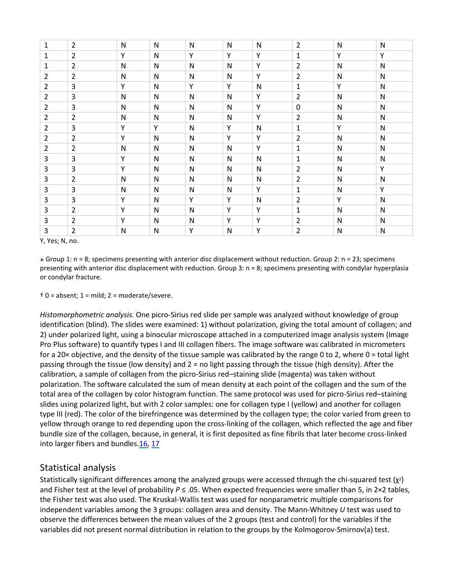| $\mathbf{1}$   | $\overline{2}$ | $\mathsf{N}$ | N            | ${\sf N}$    | ${\sf N}$    | ${\sf N}$    | $\overline{2}$ | $\mathsf{N}$ | N            |
|----------------|----------------|--------------|--------------|--------------|--------------|--------------|----------------|--------------|--------------|
| 1              | $\overline{2}$ | Y            | N            | Y            | Y            | Y            | 1              | Y            | Y            |
| 1              | $\overline{2}$ | $\mathsf{N}$ | N            | $\mathsf{N}$ | ${\sf N}$    | Y            | $\overline{2}$ | ${\sf N}$    | $\mathsf{N}$ |
| 2              | $\overline{2}$ | $\mathsf{N}$ | N            | N            | ${\sf N}$    | Y            | $\overline{2}$ | ${\sf N}$    | $\mathsf{N}$ |
| $\overline{2}$ | 3              | Y            | $\mathsf{N}$ | Υ            | Y            | ${\sf N}$    | $\mathbf{1}$   | Υ            | ${\sf N}$    |
| $\overline{2}$ | 3              | ${\sf N}$    | N            | $\mathsf{N}$ | ${\sf N}$    | Y            | $\overline{2}$ | ${\sf N}$    | ${\sf N}$    |
| $\overline{2}$ | 3              | N            | N            | N            | N            | Y            | 0              | N            | N            |
| $\overline{2}$ | $\overline{2}$ | N            | N            | N            | N            | Y            | $\overline{2}$ | $\mathsf{N}$ | N            |
| $\overline{2}$ | 3              | Υ            | Y            | N            | Υ            | $\mathsf{N}$ | $\mathbf{1}$   | Υ            | N            |
| $\overline{2}$ | $\overline{2}$ | Y            | ${\sf N}$    | N            | Y            | Y            | $\overline{2}$ | ${\sf N}$    | $\mathsf{N}$ |
| $\overline{2}$ | $\overline{2}$ | ${\sf N}$    | N            | N            | $\mathsf{N}$ | Y            | $\mathbf{1}$   | ${\sf N}$    | N            |
| 3              | 3              | Y            | N            | N            | ${\sf N}$    | ${\sf N}$    | 1              | ${\sf N}$    | N            |
| 3              | 3              | Y            | $\mathsf{N}$ | $\mathsf{N}$ | ${\sf N}$    | ${\sf N}$    | $\overline{2}$ | ${\sf N}$    | Y            |
| 3              | $\overline{2}$ | ${\sf N}$    | $\mathsf{N}$ | $\mathsf{N}$ | ${\sf N}$    | ${\sf N}$    | $\overline{2}$ | ${\sf N}$    | ${\sf N}$    |
| 3              | 3              | ${\sf N}$    | $\mathsf{N}$ | $\mathsf{N}$ | ${\sf N}$    | Y            | $\mathbf{1}$   | ${\sf N}$    | Y            |
| 3              | 3              | Y            | N            | Υ            | Y            | ${\sf N}$    | $\overline{2}$ | Υ            | $\mathsf{N}$ |
| 3              | $\overline{2}$ | Υ            | N            | N            | Y            | Y            | 1              | $\mathsf{N}$ | N            |
| 3              | $\overline{2}$ | Y            | N            | N            | Y            | Y            | $\overline{2}$ | ${\sf N}$    | ${\sf N}$    |
| 3              | $\overline{2}$ | $\mathsf{N}$ | N            | Υ            | N            | Y            | $\overline{2}$ | ${\sf N}$    | $\mathsf{N}$ |

Y, Yes; N, no.

⁎ Group 1: n = 8; specimens presenting with anterior disc displacement without reduction. Group 2: n = 23; specimens presenting with anterior disc displacement with reduction. Group 3: n = 8; specimens presenting with condylar hyperplasia or condylar fracture.

 $\pm 0$  = absent; 1 = mild; 2 = moderate/severe.

*Histomorphometric analysis.* One picro-Sirius red slide per sample was analyzed without knowledge of group identification (blind). The slides were examined: 1) without polarization, giving the total amount of collagen; and 2) under polarized light, using a binocular microscope attached in a computerized image analysis system (Image Pro Plus software) to quantify types I and III collagen fibers. The image software was calibrated in micrometers for a 20× objective, and the density of the tissue sample was calibrated by the range 0 to 2, where 0 = total light passing through the tissue (low density) and 2 = no light passing through the tissue (high density). After the calibration, a sample of collagen from the picro-Sirius red–staining slide (magenta) was taken without polarization. The software calculated the sum of mean density at each point of the collagen and the sum of the total area of the collagen by color histogram function. The same protocol was used for picro-Sirius red–staining slides using polarized light, but with 2 color samples: one for collagen type I (yellow) and another for collagen type III (red). The color of the birefringence was determined by the collagen type; the color varied from green to yellow through orange to red depending upon the cross-linking of the collagen, which reflected the age and fiber bundle size of the collagen, because, in general, it is first deposited as fine fibrils that later become cross-linked into larger fibers and bundles[.16,](https://www.sciencedirect.com/science/article/pii/S1079210407008244?via%3Dihub#bib16) [17](https://www.sciencedirect.com/science/article/pii/S1079210407008244?via%3Dihub#bib17)

#### Statistical analysis

Statistically significant differences among the analyzed groups were accessed through the chi-squared test  $(\chi^2)$ and Fisher test at the level of probability *P* ≤ .05. When expected frequencies were smaller than 5, in 2×2 tables, the Fisher test was also used. The Kruskal-Wallis test was used for nonparametric multiple comparisons for independent variables among the 3 groups: collagen area and density. The Mann-Whitney *U* test was used to observe the differences between the mean values of the 2 groups (test and control) for the variables if the variables did not present normal distribution in relation to the groups by the Kolmogorov-Smirnov(a) test.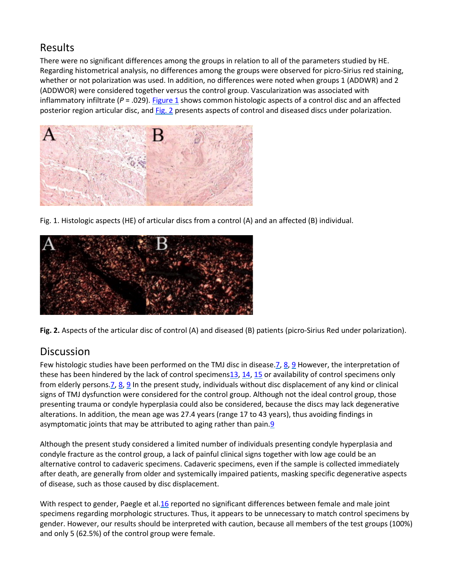## Results

There were no significant differences among the groups in relation to all of the parameters studied by HE. Regarding histometrical analysis, no differences among the groups were observed for picro-Sirius red staining, whether or not polarization was used. In addition, no differences were noted when groups 1 (ADDWR) and 2 (ADDWOR) were considered together versus the control group. Vascularization was associated with inflammatory infiltrate (*P* = .029). [Figure 1](https://www.sciencedirect.com/science/article/pii/S1079210407008244?via%3Dihub#fig1) shows common histologic aspects of a control disc and an affected posterior region articular disc, and [Fig. 2](https://www.sciencedirect.com/science/article/pii/S1079210407008244?via%3Dihub#fig2) presents aspects of control and diseased discs under polarization.



Fig. 1. Histologic aspects (HE) of articular discs from a control (A) and an affected (B) individual.



**Fig. 2.** Aspects of the articular disc of control (A) and diseased (B) patients (picro-Sirius Red under polarization).

## **Discussion**

Few histologic studies have been performed on the TMJ disc in disease.  $7, 8, 9$  $7, 8, 9$  $7, 8, 9$  However, the interpretation of these has been hindered by the lack of control specimen[s13,](https://www.sciencedirect.com/science/article/pii/S1079210407008244?via%3Dihub#bib13) [14,](https://www.sciencedirect.com/science/article/pii/S1079210407008244?via%3Dihub#bib14) [15](https://www.sciencedirect.com/science/article/pii/S1079210407008244?via%3Dihub#bib15) or availability of control specimens only from elderly persons[.7,](https://www.sciencedirect.com/science/article/pii/S1079210407008244?via%3Dihub#bib7) [8,](https://www.sciencedirect.com/science/article/pii/S1079210407008244?via%3Dihub#bib8) [9](https://www.sciencedirect.com/science/article/pii/S1079210407008244?via%3Dihub#bib9) In the present study, individuals without disc displacement of any kind or clinical signs of TMJ dysfunction were considered for the control group. Although not the ideal control group, those presenting trauma or condyle hyperplasia could also be considered, because the discs may lack degenerative alterations. In addition, the mean age was 27.4 years (range 17 to 43 years), thus avoiding findings in asymptomatic joints that may be attributed to aging rather than pain.<sup>9</sup>

Although the present study considered a limited number of individuals presenting condyle hyperplasia and condyle fracture as the control group, a lack of painful clinical signs together with low age could be an alternative control to cadaveric specimens. Cadaveric specimens, even if the sample is collected immediately after death, are generally from older and systemically impaired patients, masking specific degenerative aspects of disease, such as those caused by disc displacement.

With respect to gender, Paegle et al[.16](https://www.sciencedirect.com/science/article/pii/S1079210407008244?via%3Dihub#bib16) reported no significant differences between female and male joint specimens regarding morphologic structures. Thus, it appears to be unnecessary to match control specimens by gender. However, our results should be interpreted with caution, because all members of the test groups (100%) and only 5 (62.5%) of the control group were female.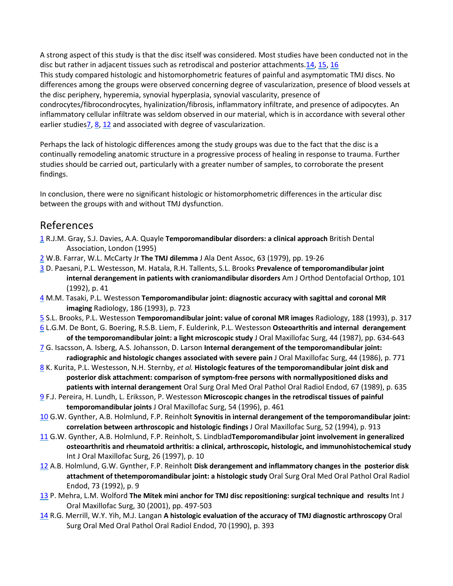A strong aspect of this study is that the disc itself was considered. Most studies have been conducted not in the disc but rather in adjacent tissues such as retrodiscal and posterior attachments[.14,](https://www.sciencedirect.com/science/article/pii/S1079210407008244?via%3Dihub#bib14) [15,](https://www.sciencedirect.com/science/article/pii/S1079210407008244?via%3Dihub#bib15) [16](https://www.sciencedirect.com/science/article/pii/S1079210407008244?via%3Dihub#bib16) This study compared histologic and histomorphometric features of painful and asymptomatic TMJ discs. No differences among the groups were observed concerning degree of vascularization, presence of blood vessels at the disc periphery, hyperemia, synovial hyperplasia, synovial vascularity, presence of condrocytes/fibrocondrocytes, hyalinization/fibrosis, inflammatory infiltrate, and presence of adipocytes. An inflammatory cellular infiltrate was seldom observed in our material, which is in accordance with several other earlier studies<sub>7</sub>, [8,](https://www.sciencedirect.com/science/article/pii/S1079210407008244?via%3Dihub#bib8) [12](https://www.sciencedirect.com/science/article/pii/S1079210407008244?via%3Dihub#bib12) and associated with degree of vascularization.

Perhaps the lack of histologic differences among the study groups was due to the fact that the disc is a continually remodeling anatomic structure in a progressive process of healing in response to trauma. Further studies should be carried out, particularly with a greater number of samples, to corroborate the present findings.

In conclusion, there were no significant histologic or histomorphometric differences in the articular disc between the groups with and without TMJ dysfunction.

#### References

- [1](https://www.sciencedirect.com/science/article/pii/S1079210407008244?via%3Dihub#bbib1) R.J.M. Gray, S.J. Davies, A.A. Quayle **Temporomandibular disorders: a clinical approach** British Dental Association, London (1995)
- [2](https://www.sciencedirect.com/science/article/pii/S1079210407008244?via%3Dihub#bbib2) W.B. Farrar, W.L. McCarty Jr **The TMJ dilemma** J Ala Dent Assoc, 63 (1979), pp. 19-26
- [3](https://www.sciencedirect.com/science/article/pii/S1079210407008244?via%3Dihub#bbib3) D. Paesani, P.L. Westesson, M. Hatala, R.H. Tallents, S.L. Brooks **Prevalence of temporomandibular joint internal derangement in patients with craniomandibular disorders** Am J Orthod Dentofacial Orthop, 101 (1992), p. 41
- [4](https://www.sciencedirect.com/science/article/pii/S1079210407008244?via%3Dihub#bbib4) M.M. Tasaki, P.L. Westesson **Temporomandibular joint: diagnostic accuracy with sagittal and coronal MR imaging** Radiology, 186 (1993), p. 723
- [5](https://www.sciencedirect.com/science/article/pii/S1079210407008244?via%3Dihub#bbib5) S.L. Brooks, P.L. Westesson **Temporomandibular joint: value of coronal MR images** Radiology, 188 (1993), p. 317
- [6](https://www.sciencedirect.com/science/article/pii/S1079210407008244?via%3Dihub#bbib6) L.G.M. De Bont, G. Boering, R.S.B. Liem, F. Eulderink, P.L. Westesson **Osteoarthritis and internal derangement of the temporomandibular joint: a light microscopic study** J Oral Maxillofac Surg, 44 (1987), pp. 634-643
- [7](https://www.sciencedirect.com/science/article/pii/S1079210407008244?via%3Dihub#bbib7) G. Isacsson, A. Isberg, A.S. Johansson, D. Larson **Internal derangement of the temporomandibular joint: radiographic and histologic changes associated with severe pain** J Oral Maxillofac Surg, 44 (1986), p. 771
- [8](https://www.sciencedirect.com/science/article/pii/S1079210407008244?via%3Dihub#bbib8) K. Kurita, P.L. Westesson, N.H. Sternby, *et al.* **Histologic features of the temporomandibular joint disk and posterior disk attachment: comparison of symptom-free persons with normallypositioned disks and patients with internal derangement** Oral Surg Oral Med Oral Pathol Oral Radiol Endod, 67 (1989), p. 635
- [9](https://www.sciencedirect.com/science/article/pii/S1079210407008244?via%3Dihub#bbib9) F.J. Pereira, H. Lundh, L. Eriksson, P. Westesson **Microscopic changes in the retrodiscal tissues of painful temporomandibular joints** J Oral Maxillofac Surg, 54 (1996), p. 461
- [10](https://www.sciencedirect.com/science/article/pii/S1079210407008244?via%3Dihub#bbib10) G.W. Gynther, A.B. Holmlund, F.P. Reinholt **Synovitis in internal derangement of the temporomandibular joint: correlation between arthroscopic and histologic findings** J Oral Maxillofac Surg, 52 (1994), p. 913
- [11](https://www.sciencedirect.com/science/article/pii/S1079210407008244?via%3Dihub#bbib11) G.W. Gynther, A.B. Holmlund, F.P. Reinholt, S. Lindblad**Temporomandibular joint involvement in generalized osteoarthritis and rheumatoid arthritis: a clinical, arthroscopic, histologic, and immunohistochemical study** Int J Oral Maxillofac Surg, 26 (1997), p. 10
- [12](https://www.sciencedirect.com/science/article/pii/S1079210407008244?via%3Dihub#bbib12) A.B. Holmlund, G.W. Gynther, F.P. Reinholt **Disk derangement and inflammatory changes in the posterior disk attachment of thetemporomandibular joint: a histologic study** Oral Surg Oral Med Oral Pathol Oral Radiol Endod, 73 (1992), p. 9
- [13](https://www.sciencedirect.com/science/article/pii/S1079210407008244?via%3Dihub#bbib13) P. Mehra, L.M. Wolford **The Mitek mini anchor for TMJ disc repositioning: surgical technique and results** Int J Oral Maxillofac Surg, 30 (2001), pp. 497-503
- [14](https://www.sciencedirect.com/science/article/pii/S1079210407008244?via%3Dihub#bbib14) R.G. Merrill, W.Y. Yih, M.J. Langan **A histologic evaluation of the accuracy of TMJ diagnostic arthroscopy** Oral Surg Oral Med Oral Pathol Oral Radiol Endod, 70 (1990), p. 393